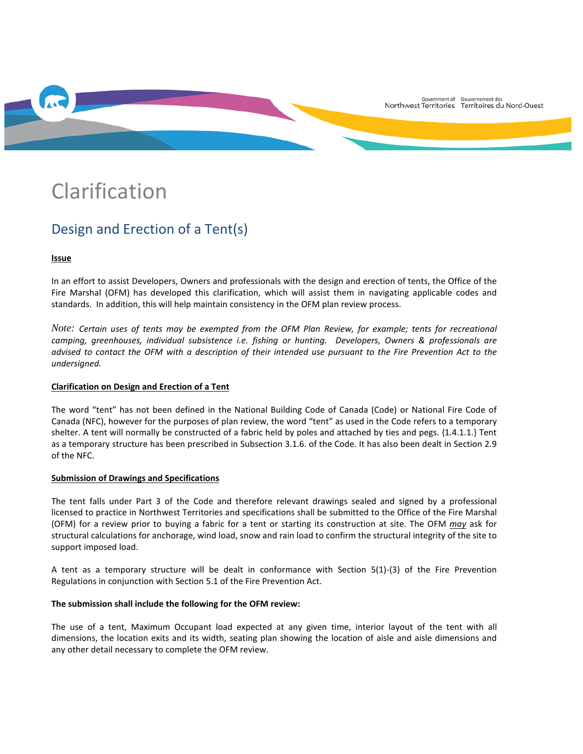

# Clarification

# Design and Erection of a Tent(s)

# **Issue**

In an effort to assist Developers, Owners and professionals with the design and erection of tents, the Office of the Fire Marshal (OFM) has developed this clarification, which will assist them in navigating applicable codes and standards. In addition, this will help maintain consistency in the OFM plan review process.

*Note: Certain uses of tents may be exempted from the OFM Plan Review, for example; tents for recreational camping, greenhouses, individual subsistence i.e. fishing or hunting. Developers, Owners & professionals are advised to contact the OFM with a description of their intended use pursuant to the Fire Prevention Act to the undersigned.*

#### **Clarification on Design and Erection of a Tent**

The word "tent" has not been defined in the National Building Code of Canada (Code) or National Fire Code of Canada (NFC), however for the purposes of plan review, the word "tent" as used in the Code refers to a temporary shelter. A tent will normally be constructed of a fabric held by poles and attached by ties and pegs. {1.4.1.1.} Tent as a temporary structure has been prescribed in Subsection 3.1.6. of the Code. It has also been dealt in Section 2.9 of the NFC.

#### **Submission of Drawings and Specifications**

The tent falls under Part 3 of the Code and therefore relevant drawings sealed and signed by a professional licensed to practice in Northwest Territories and specifications shall be submitted to the Office of the Fire Marshal (OFM) for a review prior to buying a fabric for a tent or starting its construction at site. The OFM *may* ask for structural calculations for anchorage, wind load, snow and rain load to confirm the structural integrity of the site to support imposed load.

A tent as a temporary structure will be dealt in conformance with Section 5(1)-(3) of the Fire Prevention Regulations in conjunction with Section 5.1 of the Fire Prevention Act.

#### **The submission shall include the following for the OFM review:**

The use of a tent, Maximum Occupant load expected at any given time, interior layout of the tent with all dimensions, the location exits and its width, seating plan showing the location of aisle and aisle dimensions and any other detail necessary to complete the OFM review.